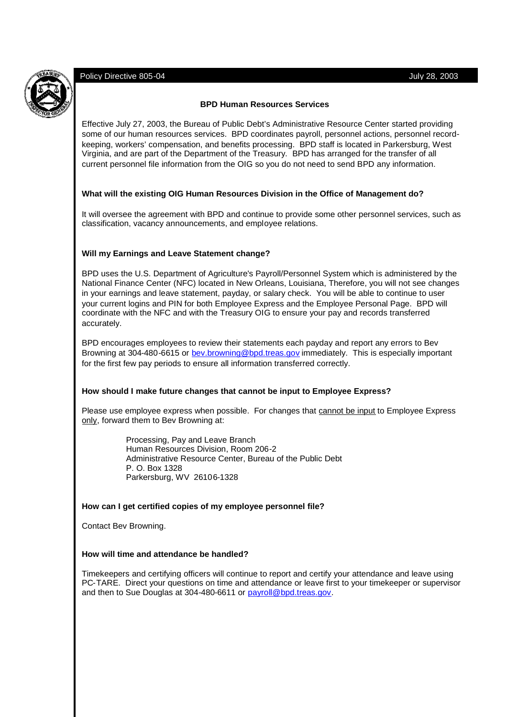# Policy Directive 805-04 July 28, 2003

## **BPD Human Resources Services**

Effective July 27, 2003, the Bureau of Public Debt's Administrative Resource Center started providing some of our human resources services. BPD coordinates payroll, personnel actions, personnel recordkeeping, workers' compensation, and benefits processing. BPD staff is located in Parkersburg, West Virginia, and are part of the Department of the Treasury. BPD has arranged for the transfer of all current personnel file information from the OIG so you do not need to send BPD any information.

## **What will the existing OIG Human Resources Division in the Office of Management do?**

It will oversee the agreement with BPD and continue to provide some other personnel services, such as classification, vacancy announcements, and employee relations.

# **Will my Earnings and Leave Statement change?**

BPD uses the U.S. Department of Agriculture's Payroll/Personnel System which is administered by the National Finance Center (NFC) located in New Orleans, Louisiana, Therefore, you will not see changes in your earnings and leave statement, payday, or salary check. You will be able to continue to user your current logins and PIN for both Employee Express and the Employee Personal Page. BPD will coordinate with the NFC and with the Treasury OIG to ensure your pay and records transferred accurately.

BPD encourages employees to review their statements each payday and report any errors to Bev Browning at 304-480-6615 or bev.browning@bpd.treas.gov immediately. This is especially important for the first few pay periods to ensure all information transferred correctly.

#### **How should I make future changes that cannot be input to Employee Express?**

Please use employee express when possible. For changes that cannot be input to Employee Express only, forward them to Bev Browning at:

> Processing, Pay and Leave Branch Human Resources Division, Room 206-2 Administrative Resource Center, Bureau of the Public Debt P. O. Box 1328 Parkersburg, WV 26106-1328

#### **How can I get certified copies of my employee personnel file?**

Contact Bev Browning.

### **How will time and attendance be handled?**

Timekeepers and certifying officers will continue to report and certify your attendance and leave using PC-TARE. Direct your questions on time and attendance or leave first to your timekeeper or supervisor and then to Sue Douglas at 304-480-6611 or payroll@bpd.treas.gov.